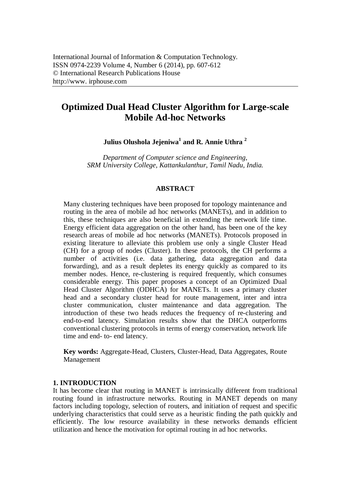# **Optimized Dual Head Cluster Algorithm for Large-scale Mobile Ad-hoc Networks**

**Julius Olushola Jejeniwa<sup>1</sup> and R. Annie Uthra <sup>2</sup>**

*Department of Computer science and Engineering, SRM University College, Kattankulanthur, Tamil Nadu, India.*

## **ABSTRACT**

Many clustering techniques have been proposed for topology maintenance and routing in the area of mobile ad hoc networks (MANETs), and in addition to this, these techniques are also beneficial in extending the network life time. Energy efficient data aggregation on the other hand, has been one of the key research areas of mobile ad hoc networks (MANETs). Protocols proposed in existing literature to alleviate this problem use only a single Cluster Head (CH) for a group of nodes (Cluster). In these protocols, the CH performs a number of activities (i.e. data gathering, data aggregation and data forwarding), and as a result depletes its energy quickly as compared to its member nodes. Hence, re-clustering is required frequently, which consumes considerable energy. This paper proposes a concept of an Optimized Dual Head Cluster Algorithm (ODHCA) for MANETs. It uses a primary cluster head and a secondary cluster head for route management, inter and intra cluster communication, cluster maintenance and data aggregation. The introduction of these two heads reduces the frequency of re-clustering and end-to-end latency. Simulation results show that the DHCA outperforms conventional clustering protocols in terms of energy conservation, network life time and end- to- end latency.

**Key words:** Aggregate-Head, Clusters, Cluster-Head, Data Aggregates, Route Management

#### **1. INTRODUCTION**

It has become clear that routing in MANET is intrinsically different from traditional routing found in infrastructure networks. Routing in MANET depends on many factors including topology, selection of routers, and initiation of request and specific underlying characteristics that could serve as a heuristic finding the path quickly and efficiently. The low resource availability in these networks demands efficient utilization and hence the motivation for optimal routing in ad hoc networks.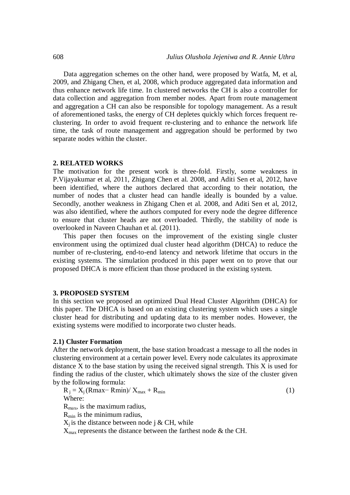Data aggregation schemes on the other hand, were proposed by Watfa, M, et al, 2009, and Zhigang Chen, et al, 2008, which produce aggregated data information and thus enhance network life time. In clustered networks the CH is also a controller for data collection and aggregation from member nodes. Apart from route management and aggregation a CH can also be responsible for topology management. As a result of aforementioned tasks, the energy of CH depletes quickly which forces frequent reclustering. In order to avoid frequent re-clustering and to enhance the network life time, the task of route management and aggregation should be performed by two separate nodes within the cluster.

#### **2. RELATED WORKS**

The motivation for the present work is three-fold. Firstly, some weakness in P.Vijayakumar et al, 2011, Zhigang Chen et al. 2008, and Aditi Sen et al, 2012, have been identified, where the authors declared that according to their notation, the number of nodes that a cluster head can handle ideally is bounded by a value. Secondly, another weakness in Zhigang Chen et al. 2008, and Aditi Sen et al, 2012, was also identified, where the authors computed for every node the degree difference to ensure that cluster heads are not overloaded. Thirdly, the stability of node is overlooked in Naveen Chauhan et al. (2011).

This paper then focuses on the improvement of the existing single cluster environment using the optimized dual cluster head algorithm (DHCA) to reduce the number of re-clustering, end-to-end latency and network lifetime that occurs in the existing systems. The simulation produced in this paper went on to prove that our proposed DHCA is more efficient than those produced in the existing system.

#### **3. PROPOSED SYSTEM**

In this section we proposed an optimized Dual Head Cluster Algorithm (DHCA) for this paper. The DHCA is based on an existing clustering system which uses a single cluster head for distributing and updating data to its member nodes. However, the existing systems were modified to incorporate two cluster heads.

#### **2.1) Cluster Formation**

After the network deployment, the base station broadcast a message to all the nodes in clustering environment at a certain power level. Every node calculates its approximate distance X to the base station by using the received signal strength. This X is used for finding the radius of the cluster, which ultimately shows the size of the cluster given by the following formula:

$$
R_j = X_j (Rmax - Rmin) / X_{max} + R_{min}
$$
 (1)  
Where:

 $R_{\text{max}}$ , is the maximum radius,

 $R_{\text{min}}$  is the minimum radius,

 $X_i$  is the distance between node j & CH, while

 $X_{\text{max}}$  represents the distance between the farthest node & the CH.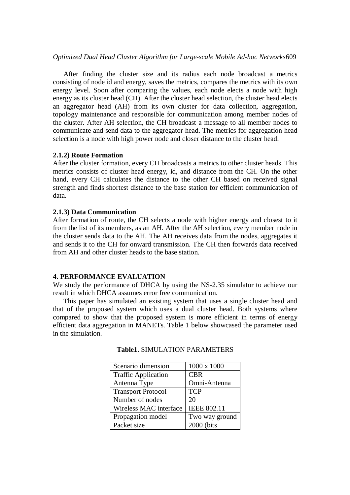## *Optimized Dual Head Cluster Algorithm for Large-scale Mobile Ad-hoc Networks*609

After finding the cluster size and its radius each node broadcast a metrics consisting of node id and energy, saves the metrics, compares the metrics with its own energy level. Soon after comparing the values, each node elects a node with high energy as its cluster head (CH). After the cluster head selection, the cluster head elects an aggregator head (AH) from its own cluster for data collection, aggregation, topology maintenance and responsible for communication among member nodes of the cluster. After AH selection, the CH broadcast a message to all member nodes to communicate and send data to the aggregator head. The metrics for aggregation head selection is a node with high power node and closer distance to the cluster head.

## **2.1.2) Route Formation**

After the cluster formation, every CH broadcasts a metrics to other cluster heads. This metrics consists of cluster head energy, id, and distance from the CH. On the other hand, every CH calculates the distance to the other CH based on received signal strength and finds shortest distance to the base station for efficient communication of data.

## **2.1.3) Data Communication**

After formation of route, the CH selects a node with higher energy and closest to it from the list of its members, as an AH. After the AH selection, every member node in the cluster sends data to the AH. The AH receives data from the nodes, aggregates it and sends it to the CH for onward transmission. The CH then forwards data received from AH and other cluster heads to the base station.

## **4. PERFORMANCE EVALUATION**

We study the performance of DHCA by using the NS-2.35 simulator to achieve our result in which DHCA assumes error free communication.

This paper has simulated an existing system that uses a single cluster head and that of the proposed system which uses a dual cluster head. Both systems where compared to show that the proposed system is more efficient in terms of energy efficient data aggregation in MANETs. Table 1 below showcased the parameter used in the simulation.

| Scenario dimension         | 1000 x 1000        |
|----------------------------|--------------------|
| <b>Traffic Application</b> | <b>CBR</b>         |
| Antenna Type               | Omni-Antenna       |
| <b>Transport Protocol</b>  | <b>TCP</b>         |
| Number of nodes            | 20                 |
| Wireless MAC interface     | <b>IEEE 802.11</b> |
| Propagation model          | Two way ground     |
| Packet size                | 2000 (bits         |

#### **Table1.** SIMULATION PARAMETERS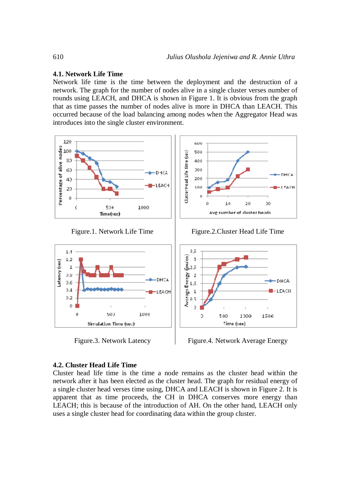# **4.1. Network Life Time**

Network life time is the time between the deployment and the destruction of a network. The graph for the number of nodes alive in a single cluster verses number of rounds using LEACH, and DHCA is shown in Figure 1. It is obvious from the graph that as time passes the number of nodes alive is more in DHCA than LEACH. This occurred because of the load balancing among nodes when the Aggregator Head was introduces into the single cluster environment.







#### **4.2. Cluster Head Life Time**

Cluster head life time is the time a node remains as the cluster head within the network after it has been elected as the cluster head. The graph for residual energy of a single cluster head verses time using, DHCA and LEACH is shown in Figure 2. It is apparent that as time proceeds, the CH in DHCA conserves more energy than LEACH; this is because of the introduction of AH. On the other hand, LEACH only uses a single cluster head for coordinating data within the group cluster.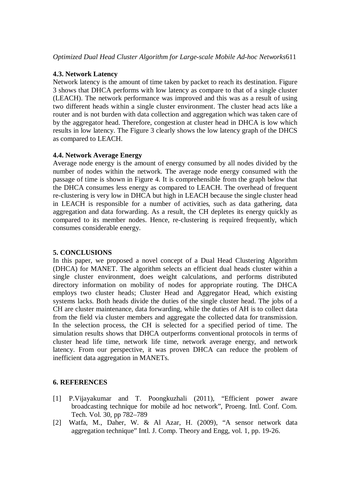# **4.3. Network Latency**

Network latency is the amount of time taken by packet to reach its destination. Figure 3 shows that DHCA performs with low latency as compare to that of a single cluster (LEACH). The network performance was improved and this was as a result of using two different heads within a single cluster environment. The cluster head acts like a router and is not burden with data collection and aggregation which was taken care of by the aggregator head. Therefore, congestion at cluster head in DHCA is low which results in low latency. The Figure 3 clearly shows the low latency graph of the DHCS as compared to LEACH.

# **4.4. Network Average Energy**

Average node energy is the amount of energy consumed by all nodes divided by the number of nodes within the network. The average node energy consumed with the passage of time is shown in Figure 4. It is comprehensible from the graph below that the DHCA consumes less energy as compared to LEACH. The overhead of frequent re-clustering is very low in DHCA but high in LEACH because the single cluster head in LEACH is responsible for a number of activities, such as data gathering, data aggregation and data forwarding. As a result, the CH depletes its energy quickly as compared to its member nodes. Hence, re-clustering is required frequently, which consumes considerable energy.

## **5. CONCLUSIONS**

In this paper, we proposed a novel concept of a Dual Head Clustering Algorithm (DHCA) for MANET. The algorithm selects an efficient dual heads cluster within a single cluster environment, does weight calculations, and performs distributed directory information on mobility of nodes for appropriate routing. The DHCA employs two cluster heads; Cluster Head and Aggregator Head, which existing systems lacks. Both heads divide the duties of the single cluster head. The jobs of a CH are cluster maintenance, data forwarding, while the duties of AH is to collect data from the field via cluster members and aggregate the collected data for transmission. In the selection process, the CH is selected for a specified period of time. The simulation results shows that DHCA outperforms conventional protocols in terms of cluster head life time, network life time, network average energy, and network latency. From our perspective, it was proven DHCA can reduce the problem of inefficient data aggregation in MANETs.

# **6. REFERENCES**

- [1] P.Vijayakumar and T. Poongkuzhali (2011), "Efficient power aware broadcasting technique for mobile ad hoc network", Proeng. Intl. Conf. Com. Tech. Vol. 30, pp 782–789
- [2] Watfa, M., Daher, W. & Al Azar, H. (2009), "A sensor network data aggregation technique" Intl. J. Comp. Theory and Engg, vol. 1, pp. 19-26.